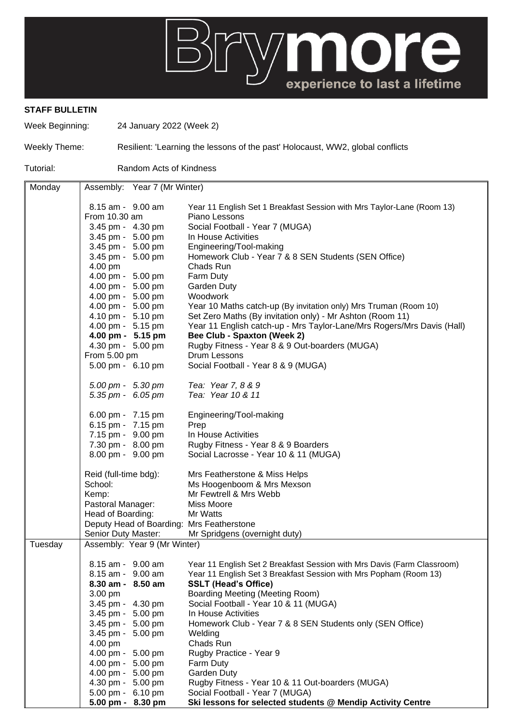

## **STAFF BULLETIN**

Week Beginning: 24 January 2022 (Week 2)

Weekly Theme: Resilient: 'Learning the lessons of the past' Holocaust, WW2, global conflicts

Tutorial: Random Acts of Kindness

| Monday  | Assembly: Year 7 (Mr Winter)              |                                                                         |
|---------|-------------------------------------------|-------------------------------------------------------------------------|
|         |                                           |                                                                         |
|         | 8.15 am - 9.00 am                         | Year 11 English Set 1 Breakfast Session with Mrs Taylor-Lane (Room 13)  |
|         | From 10.30 am                             | Piano Lessons                                                           |
|         | 3.45 pm - 4.30 pm                         | Social Football - Year 7 (MUGA)                                         |
|         | 3.45 pm - 5.00 pm                         | In House Activities                                                     |
|         | 3.45 pm - 5.00 pm                         | Engineering/Tool-making                                                 |
|         | 3.45 pm - 5.00 pm                         | Homework Club - Year 7 & 8 SEN Students (SEN Office)                    |
|         | 4.00 pm                                   | Chads Run                                                               |
|         | 4.00 pm - 5.00 pm                         | Farm Duty                                                               |
|         | 4.00 pm - 5.00 pm                         | <b>Garden Duty</b>                                                      |
|         | 4.00 pm - 5.00 pm                         | Woodwork                                                                |
|         | 4.00 pm - 5.00 pm                         | Year 10 Maths catch-up (By invitation only) Mrs Truman (Room 10)        |
|         | 4.10 pm - 5.10 pm                         | Set Zero Maths (By invitation only) - Mr Ashton (Room 11)               |
|         | 4.00 pm - 5.15 pm                         | Year 11 English catch-up - Mrs Taylor-Lane/Mrs Rogers/Mrs Davis (Hall)  |
|         | 4.00 pm - 5.15 pm                         | <b>Bee Club - Spaxton (Week 2)</b>                                      |
|         | 4.30 pm - 5.00 pm<br>From 5.00 pm         | Rugby Fitness - Year 8 & 9 Out-boarders (MUGA)<br>Drum Lessons          |
|         | 5.00 pm - 6.10 pm                         |                                                                         |
|         |                                           | Social Football - Year 8 & 9 (MUGA)                                     |
|         | 5.00 pm - 5.30 pm                         | Tea: Year 7, 8 & 9                                                      |
|         | $5.35 \text{ pm} - 6.05 \text{ pm}$       | Tea: Year 10 & 11                                                       |
|         | 6.00 pm - 7.15 pm                         | Engineering/Tool-making                                                 |
|         | 6.15 pm - 7.15 pm                         | Prep                                                                    |
|         | 7.15 pm - 9.00 pm                         | In House Activities                                                     |
|         | 7.30 pm - 8.00 pm                         | Rugby Fitness - Year 8 & 9 Boarders                                     |
|         | 8.00 pm - 9.00 pm                         | Social Lacrosse - Year 10 & 11 (MUGA)                                   |
|         | Reid (full-time bdg):                     | Mrs Featherstone & Miss Helps                                           |
|         | School:                                   | Ms Hoogenboom & Mrs Mexson                                              |
|         | Kemp:                                     | Mr Fewtrell & Mrs Webb                                                  |
|         | Pastoral Manager:                         | Miss Moore                                                              |
|         | Head of Boarding:                         | Mr Watts                                                                |
|         | Deputy Head of Boarding: Mrs Featherstone |                                                                         |
|         | Senior Duty Master:                       | Mr Spridgens (overnight duty)                                           |
| Tuesday | Assembly: Year 9 (Mr Winter)              |                                                                         |
|         | 8.15 am - 9.00 am                         | Year 11 English Set 2 Breakfast Session with Mrs Davis (Farm Classroom) |
|         | 8.15 am - 9.00 am                         | Year 11 English Set 3 Breakfast Session with Mrs Popham (Room 13)       |
|         | 8.30 am - 8.50 am                         | <b>SSLT (Head's Office)</b>                                             |
|         | 3.00 pm                                   | <b>Boarding Meeting (Meeting Room)</b>                                  |
|         | 3.45 pm - 4.30 pm                         | Social Football - Year 10 & 11 (MUGA)                                   |
|         | 3.45 pm - 5.00 pm                         | In House Activities                                                     |
|         | 3.45 pm - 5.00 pm                         | Homework Club - Year 7 & 8 SEN Students only (SEN Office)               |
|         | 3.45 pm - 5.00 pm                         | Welding                                                                 |
|         | 4.00 pm                                   | Chads Run                                                               |
|         | 4.00 pm - 5.00 pm                         | Rugby Practice - Year 9                                                 |
|         | 4.00 pm - 5.00 pm                         | Farm Duty                                                               |
|         | 4.00 pm - 5.00 pm                         | Garden Duty                                                             |
|         | 4.30 pm - 5.00 pm                         | Rugby Fitness - Year 10 & 11 Out-boarders (MUGA)                        |
|         | 5.00 pm - 6.10 pm                         | Social Football - Year 7 (MUGA)                                         |
|         | 5.00 pm - 8.30 pm                         | Ski lessons for selected students @ Mendip Activity Centre              |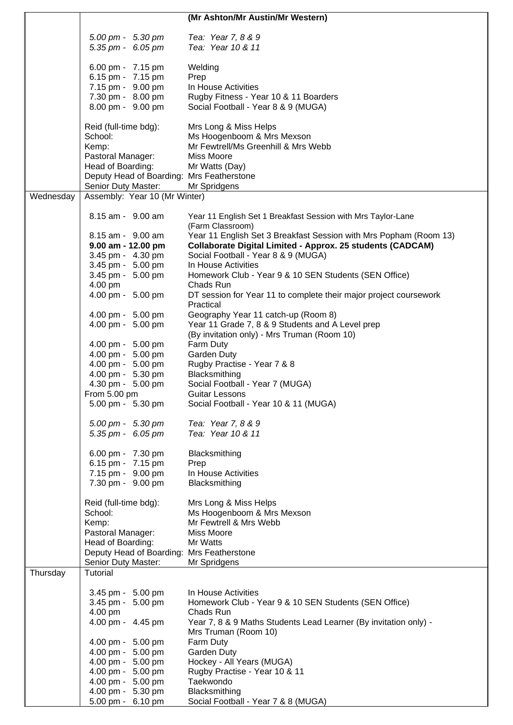|           |                                           | (Mr Ashton/Mr Austin/Mr Western)                                  |
|-----------|-------------------------------------------|-------------------------------------------------------------------|
|           |                                           |                                                                   |
|           | 5.00 pm - 5.30 pm                         | Tea: Year 7, 8 & 9                                                |
|           | 5.35 pm - 6.05 pm                         | Tea: Year 10 & 11                                                 |
|           |                                           |                                                                   |
|           | 6.00 pm - 7.15 pm                         | Welding                                                           |
|           | 6.15 pm - 7.15 pm                         | Prep                                                              |
|           | 7.15 pm - 9.00 pm                         | In House Activities                                               |
|           | 7.30 pm - 8.00 pm                         | Rugby Fitness - Year 10 & 11 Boarders                             |
|           | 8.00 pm - 9.00 pm                         | Social Football - Year 8 & 9 (MUGA)                               |
|           | Reid (full-time bdg):                     | Mrs Long & Miss Helps                                             |
|           | School:                                   | Ms Hoogenboom & Mrs Mexson                                        |
|           | Kemp:                                     | Mr Fewtrell/Ms Greenhill & Mrs Webb                               |
|           | Pastoral Manager:                         | Miss Moore                                                        |
|           | Head of Boarding:                         | Mr Watts (Day)                                                    |
|           | Deputy Head of Boarding: Mrs Featherstone |                                                                   |
|           | Senior Duty Master:                       | Mr Spridgens                                                      |
| Wednesday | Assembly: Year 10 (Mr Winter)             |                                                                   |
|           |                                           |                                                                   |
|           | 8.15 am - 9.00 am                         | Year 11 English Set 1 Breakfast Session with Mrs Taylor-Lane      |
|           |                                           | (Farm Classroom)                                                  |
|           | 8.15 am - 9.00 am                         | Year 11 English Set 3 Breakfast Session with Mrs Popham (Room 13) |
|           | $9.00$ am - 12.00 pm                      | <b>Collaborate Digital Limited - Approx. 25 students (CADCAM)</b> |
|           | 3.45 pm - 4.30 pm                         | Social Football - Year 8 & 9 (MUGA)                               |
|           | 3.45 pm - 5.00 pm                         | In House Activities                                               |
|           | 3.45 pm - 5.00 pm                         | Homework Club - Year 9 & 10 SEN Students (SEN Office)             |
|           | 4.00 pm                                   | Chads Run                                                         |
|           | 4.00 pm - 5.00 pm                         | DT session for Year 11 to complete their major project coursework |
|           |                                           | Practical                                                         |
|           | 4.00 pm - 5.00 pm                         | Geography Year 11 catch-up (Room 8)                               |
|           | 4.00 pm - 5.00 pm                         | Year 11 Grade 7, 8 & 9 Students and A Level prep                  |
|           | 4.00 pm - 5.00 pm                         | (By invitation only) - Mrs Truman (Room 10)<br>Farm Duty          |
|           | 4.00 pm - 5.00 pm                         | Garden Duty                                                       |
|           | 4.00 pm - 5.00 pm                         | Rugby Practise - Year 7 & 8                                       |
|           | 4.00 pm - 5.30 pm                         | Blacksmithing                                                     |
|           | 4.30 pm - 5.00 pm                         | Social Football - Year 7 (MUGA)                                   |
|           | From 5.00 pm                              | Guitar Lessons                                                    |
|           | 5.00 pm - 5.30 pm                         | Social Football - Year 10 & 11 (MUGA)                             |
|           |                                           |                                                                   |
|           | 5.00 pm - 5.30 pm                         | Tea: Year 7, 8 & 9                                                |
|           | 5.35 pm - 6.05 pm                         | Tea: Year 10 & 11                                                 |
|           |                                           |                                                                   |
|           | 6.00 pm - 7.30 pm                         | Blacksmithing                                                     |
|           | 6.15 pm - 7.15 pm                         | Prep                                                              |
|           | 7.15 pm - 9.00 pm                         | In House Activities                                               |
|           | 7.30 pm - 9.00 pm                         | Blacksmithing                                                     |
|           | Reid (full-time bdg):                     | Mrs Long & Miss Helps                                             |
|           | School:                                   | Ms Hoogenboom & Mrs Mexson                                        |
|           | Kemp:                                     | Mr Fewtrell & Mrs Webb                                            |
|           | Pastoral Manager:                         | Miss Moore                                                        |
|           | Head of Boarding:                         | Mr Watts                                                          |
|           | Deputy Head of Boarding: Mrs Featherstone |                                                                   |
|           | Senior Duty Master:                       | Mr Spridgens                                                      |
| Thursday  | Tutorial                                  |                                                                   |
|           |                                           |                                                                   |
|           | 3.45 pm - 5.00 pm                         | In House Activities                                               |
|           | 3.45 pm - 5.00 pm                         | Homework Club - Year 9 & 10 SEN Students (SEN Office)             |
|           | 4.00 pm                                   | Chads Run                                                         |
|           | 4.00 pm - 4.45 pm                         | Year 7, 8 & 9 Maths Students Lead Learner (By invitation only) -  |
|           |                                           | Mrs Truman (Room 10)                                              |
|           | 4.00 pm - 5.00 pm                         | Farm Duty                                                         |
|           | 4.00 pm - 5.00 pm                         | Garden Duty                                                       |
|           | 4.00 pm - 5.00 pm                         | Hockey - All Years (MUGA)                                         |
|           | 4.00 pm - 5.00 pm                         | Rugby Practise - Year 10 & 11                                     |
|           | 4.00 pm - 5.00 pm<br>4.00 pm - 5.30 pm    | Taekwondo<br>Blacksmithing                                        |
|           | 5.00 pm - 6.10 pm                         | Social Football - Year 7 & 8 (MUGA)                               |
|           |                                           |                                                                   |